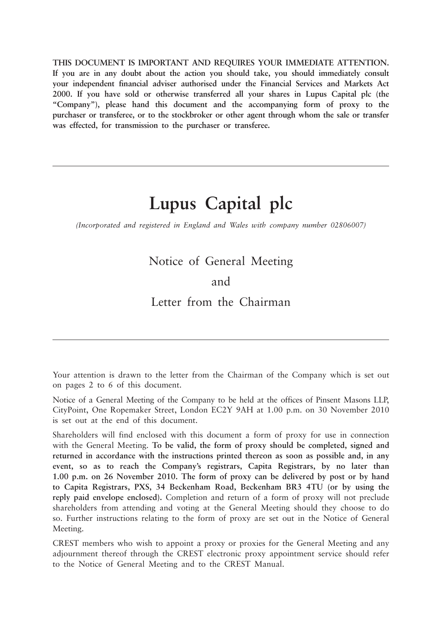**THIS DOCUMENT IS IMPORTANT AND REQUIRES YOUR IMMEDIATE ATTENTION. If you are in any doubt about the action you should take, you should immediately consult your independent financial adviser authorised under the Financial Services and Markets Act 2000. If you have sold or otherwise transferred all your shares in Lupus Capital plc (the "Company"), please hand this document and the accompanying form of proxy to the purchaser or transferee, or to the stockbroker or other agent through whom the sale or transfer was effected, for transmission to the purchaser or transferee.**

## **Lupus Capital plc**

*(Incorporated and registered in England and Wales with company number 02806007)*

## Notice of General Meeting

### and

Letter from the Chairman

Your attention is drawn to the letter from the Chairman of the Company which is set out on pages 2 to 6 of this document.

Notice of a General Meeting of the Company to be held at the offices of Pinsent Masons LLP, CityPoint, One Ropemaker Street, London EC2Y 9AH at 1.00 p.m. on 30 November 2010 is set out at the end of this document.

Shareholders will find enclosed with this document a form of proxy for use in connection with the General Meeting. **To be valid, the form of proxy should be completed, signed and returned in accordance with the instructions printed thereon as soon as possible and, in any event, so as to reach the Company's registrars, Capita Registrars, by no later than 1.00 p.m. on 26 November 2010. The form of proxy can be delivered by post or by hand to Capita Registrars, PXS, 34 Beckenham Road, Beckenham BR3 4TU (or by using the reply paid envelope enclosed).** Completion and return of a form of proxy will not preclude shareholders from attending and voting at the General Meeting should they choose to do so. Further instructions relating to the form of proxy are set out in the Notice of General Meeting.

CREST members who wish to appoint a proxy or proxies for the General Meeting and any adjournment thereof through the CREST electronic proxy appointment service should refer to the Notice of General Meeting and to the CREST Manual.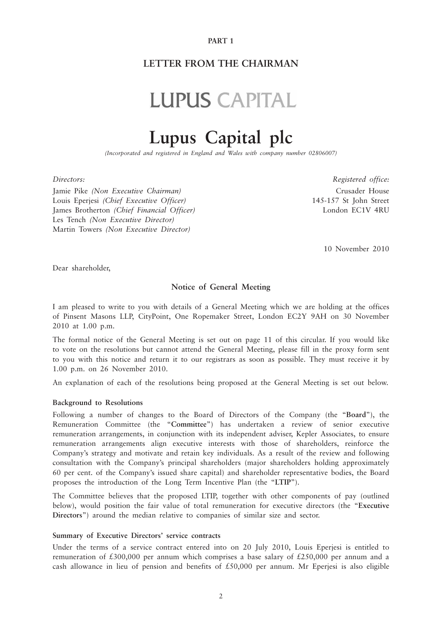#### **PART 1**

### **LETTER FROM THE CHAIRMAN**

# **LUPUS CAPITAL**

## **Lupus Capital plc**

*(Incorporated and registered in England and Wales with company number 02806007)*

Jamie Pike *(Non Executive Chairman)* Crusader House Louis Eperjesi *(Chief Executive Officer)* 145-157 St John Street James Brotherton *(Chief Financial Officer)* London EC1V 4RU Les Tench *(Non Executive Director)* Martin Towers *(Non Executive Director)*

*Directors: Registered office:*

10 November 2010

Dear shareholder,

#### **Notice of General Meeting**

I am pleased to write to you with details of a General Meeting which we are holding at the offices of Pinsent Masons LLP, CityPoint, One Ropemaker Street, London EC2Y 9AH on 30 November 2010 at 1.00 p.m.

The formal notice of the General Meeting is set out on page 11 of this circular. If you would like to vote on the resolutions but cannot attend the General Meeting, please fill in the proxy form sent to you with this notice and return it to our registrars as soon as possible. They must receive it by 1.00 p.m. on 26 November 2010.

An explanation of each of the resolutions being proposed at the General Meeting is set out below.

#### **Background to Resolutions**

Following a number of changes to the Board of Directors of the Company (the "**Board**"), the Remuneration Committee (the "**Committee**") has undertaken a review of senior executive remuneration arrangements, in conjunction with its independent adviser, Kepler Associates, to ensure remuneration arrangements align executive interests with those of shareholders, reinforce the Company's strategy and motivate and retain key individuals. As a result of the review and following consultation with the Company's principal shareholders (major shareholders holding approximately 60 per cent. of the Company's issued share capital) and shareholder representative bodies, the Board proposes the introduction of the Long Term Incentive Plan (the "**LTIP**").

The Committee believes that the proposed LTIP, together with other components of pay (outlined below), would position the fair value of total remuneration for executive directors (the "**Executive Directors**") around the median relative to companies of similar size and sector.

#### **Summary of Executive Directors' service contracts**

Under the terms of a service contract entered into on 20 July 2010, Louis Eperjesi is entitled to remuneration of £300,000 per annum which comprises a base salary of £250,000 per annum and a cash allowance in lieu of pension and benefits of  $£50,000$  per annum. Mr Eperjesi is also eligible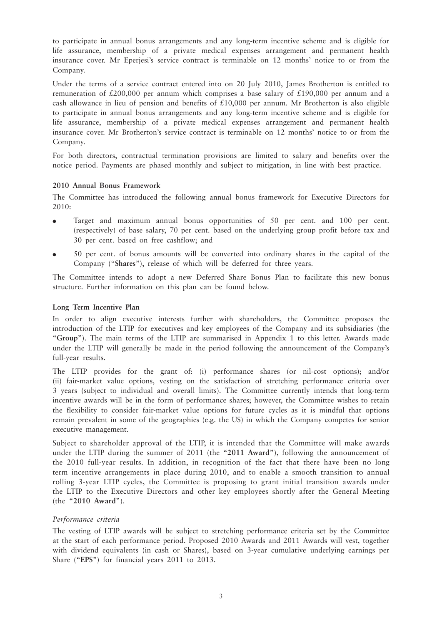to participate in annual bonus arrangements and any long-term incentive scheme and is eligible for life assurance, membership of a private medical expenses arrangement and permanent health insurance cover. Mr Eperjesi's service contract is terminable on 12 months' notice to or from the Company.

Under the terms of a service contract entered into on 20 July 2010, James Brotherton is entitled to remuneration of £200,000 per annum which comprises a base salary of £190,000 per annum and a cash allowance in lieu of pension and benefits of £10,000 per annum. Mr Brotherton is also eligible to participate in annual bonus arrangements and any long-term incentive scheme and is eligible for life assurance, membership of a private medical expenses arrangement and permanent health insurance cover. Mr Brotherton's service contract is terminable on 12 months' notice to or from the Company.

For both directors, contractual termination provisions are limited to salary and benefits over the notice period. Payments are phased monthly and subject to mitigation, in line with best practice.

#### **2010 Annual Bonus Framework**

The Committee has introduced the following annual bonus framework for Executive Directors for 2010:

- Target and maximum annual bonus opportunities of 50 per cent. and 100 per cent. (respectively) of base salary, 70 per cent. based on the underlying group profit before tax and 30 per cent. based on free cashflow; and
- 50 per cent. of bonus amounts will be converted into ordinary shares in the capital of the Company ("**Shares**"), release of which will be deferred for three years.

The Committee intends to adopt a new Deferred Share Bonus Plan to facilitate this new bonus structure. Further information on this plan can be found below.

#### **Long Term Incentive Plan**

In order to align executive interests further with shareholders, the Committee proposes the introduction of the LTIP for executives and key employees of the Company and its subsidiaries (the "**Group**"). The main terms of the LTIP are summarised in Appendix 1 to this letter. Awards made under the LTIP will generally be made in the period following the announcement of the Company's full-year results.

The LTIP provides for the grant of: (i) performance shares (or nil-cost options); and/or (ii) fair-market value options, vesting on the satisfaction of stretching performance criteria over 3 years (subject to individual and overall limits). The Committee currently intends that long-term incentive awards will be in the form of performance shares; however, the Committee wishes to retain the flexibility to consider fair-market value options for future cycles as it is mindful that options remain prevalent in some of the geographies (e.g. the US) in which the Company competes for senior executive management.

Subject to shareholder approval of the LTIP, it is intended that the Committee will make awards under the LTIP during the summer of 2011 (the "**2011 Award**"), following the announcement of the 2010 full-year results. In addition, in recognition of the fact that there have been no long term incentive arrangements in place during 2010, and to enable a smooth transition to annual rolling 3-year LTIP cycles, the Committee is proposing to grant initial transition awards under the LTIP to the Executive Directors and other key employees shortly after the General Meeting (the "**2010 Award**").

#### *Performance criteria*

The vesting of LTIP awards will be subject to stretching performance criteria set by the Committee at the start of each performance period. Proposed 2010 Awards and 2011 Awards will vest, together with dividend equivalents (in cash or Shares), based on 3-year cumulative underlying earnings per Share ("**EPS**") for financial years 2011 to 2013.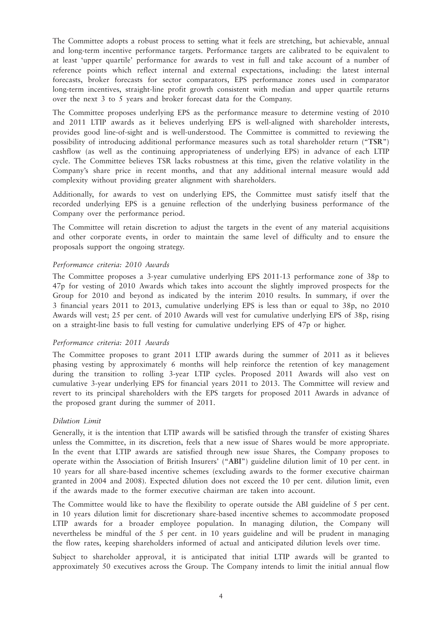The Committee adopts a robust process to setting what it feels are stretching, but achievable, annual and long-term incentive performance targets. Performance targets are calibrated to be equivalent to at least 'upper quartile' performance for awards to vest in full and take account of a number of reference points which reflect internal and external expectations, including: the latest internal forecasts, broker forecasts for sector comparators, EPS performance zones used in comparator long-term incentives, straight-line profit growth consistent with median and upper quartile returns over the next 3 to 5 years and broker forecast data for the Company.

The Committee proposes underlying EPS as the performance measure to determine vesting of 2010 and 2011 LTIP awards as it believes underlying EPS is well-aligned with shareholder interests, provides good line-of-sight and is well-understood. The Committee is committed to reviewing the possibility of introducing additional performance measures such as total shareholder return ("**TSR**") cashflow (as well as the continuing appropriateness of underlying EPS) in advance of each LTIP cycle. The Committee believes TSR lacks robustness at this time, given the relative volatility in the Company's share price in recent months, and that any additional internal measure would add complexity without providing greater alignment with shareholders.

Additionally, for awards to vest on underlying EPS, the Committee must satisfy itself that the recorded underlying EPS is a genuine reflection of the underlying business performance of the Company over the performance period.

The Committee will retain discretion to adjust the targets in the event of any material acquisitions and other corporate events, in order to maintain the same level of difficulty and to ensure the proposals support the ongoing strategy.

#### *Performance criteria: 2010 Awards*

The Committee proposes a 3-year cumulative underlying EPS 2011-13 performance zone of 38p to 47p for vesting of 2010 Awards which takes into account the slightly improved prospects for the Group for 2010 and beyond as indicated by the interim 2010 results. In summary, if over the 3 financial years 2011 to 2013, cumulative underlying EPS is less than or equal to 38p, no 2010 Awards will vest; 25 per cent. of 2010 Awards will vest for cumulative underlying EPS of 38p, rising on a straight-line basis to full vesting for cumulative underlying EPS of 47p or higher.

#### *Performance criteria: 2011 Awards*

The Committee proposes to grant 2011 LTIP awards during the summer of 2011 as it believes phasing vesting by approximately 6 months will help reinforce the retention of key management during the transition to rolling 3-year LTIP cycles. Proposed 2011 Awards will also vest on cumulative 3-year underlying EPS for financial years 2011 to 2013. The Committee will review and revert to its principal shareholders with the EPS targets for proposed 2011 Awards in advance of the proposed grant during the summer of 2011.

#### *Dilution Limit*

Generally, it is the intention that LTIP awards will be satisfied through the transfer of existing Shares unless the Committee, in its discretion, feels that a new issue of Shares would be more appropriate. In the event that LTIP awards are satisfied through new issue Shares, the Company proposes to operate within the Association of British Insurers' ("**ABI**") guideline dilution limit of 10 per cent. in 10 years for all share-based incentive schemes (excluding awards to the former executive chairman granted in 2004 and 2008). Expected dilution does not exceed the 10 per cent. dilution limit, even if the awards made to the former executive chairman are taken into account.

The Committee would like to have the flexibility to operate outside the ABI guideline of 5 per cent. in 10 years dilution limit for discretionary share-based incentive schemes to accommodate proposed LTIP awards for a broader employee population. In managing dilution, the Company will nevertheless be mindful of the 5 per cent. in 10 years guideline and will be prudent in managing the flow rates, keeping shareholders informed of actual and anticipated dilution levels over time.

Subject to shareholder approval, it is anticipated that initial LTIP awards will be granted to approximately 50 executives across the Group. The Company intends to limit the initial annual flow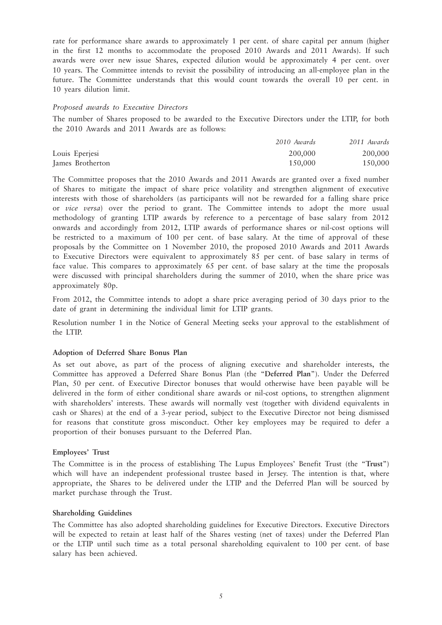rate for performance share awards to approximately 1 per cent. of share capital per annum (higher in the first 12 months to accommodate the proposed 2010 Awards and 2011 Awards). If such awards were over new issue Shares, expected dilution would be approximately 4 per cent. over 10 years. The Committee intends to revisit the possibility of introducing an all-employee plan in the future. The Committee understands that this would count towards the overall 10 per cent. in 10 years dilution limit.

#### *Proposed awards to Executive Directors*

The number of Shares proposed to be awarded to the Executive Directors under the LTIP, for both the 2010 Awards and 2011 Awards are as follows:

|                  | 2010 Awards | 2011 Awards |
|------------------|-------------|-------------|
| Louis Eperjesi   | 200,000     | 200,000     |
| James Brotherton | 150,000     | 150,000     |

The Committee proposes that the 2010 Awards and 2011 Awards are granted over a fixed number of Shares to mitigate the impact of share price volatility and strengthen alignment of executive interests with those of shareholders (as participants will not be rewarded for a falling share price or *vice versa*) over the period to grant. The Committee intends to adopt the more usual methodology of granting LTIP awards by reference to a percentage of base salary from 2012 onwards and accordingly from 2012, LTIP awards of performance shares or nil-cost options will be restricted to a maximum of 100 per cent. of base salary. At the time of approval of these proposals by the Committee on 1 November 2010, the proposed 2010 Awards and 2011 Awards to Executive Directors were equivalent to approximately 85 per cent. of base salary in terms of face value. This compares to approximately 65 per cent. of base salary at the time the proposals were discussed with principal shareholders during the summer of 2010, when the share price was approximately 80p.

From 2012, the Committee intends to adopt a share price averaging period of 30 days prior to the date of grant in determining the individual limit for LTIP grants.

Resolution number 1 in the Notice of General Meeting seeks your approval to the establishment of the LTIP.

#### **Adoption of Deferred Share Bonus Plan**

As set out above, as part of the process of aligning executive and shareholder interests, the Committee has approved a Deferred Share Bonus Plan (the "**Deferred Plan**"). Under the Deferred Plan, 50 per cent. of Executive Director bonuses that would otherwise have been payable will be delivered in the form of either conditional share awards or nil-cost options, to strengthen alignment with shareholders' interests. These awards will normally vest (together with dividend equivalents in cash or Shares) at the end of a 3-year period, subject to the Executive Director not being dismissed for reasons that constitute gross misconduct. Other key employees may be required to defer a proportion of their bonuses pursuant to the Deferred Plan.

#### **Employees' Trust**

The Committee is in the process of establishing The Lupus Employees' Benefit Trust (the "**Trust**") which will have an independent professional trustee based in Jersey. The intention is that, where appropriate, the Shares to be delivered under the LTIP and the Deferred Plan will be sourced by market purchase through the Trust.

#### **Shareholding Guidelines**

The Committee has also adopted shareholding guidelines for Executive Directors. Executive Directors will be expected to retain at least half of the Shares vesting (net of taxes) under the Deferred Plan or the LTIP until such time as a total personal shareholding equivalent to 100 per cent. of base salary has been achieved.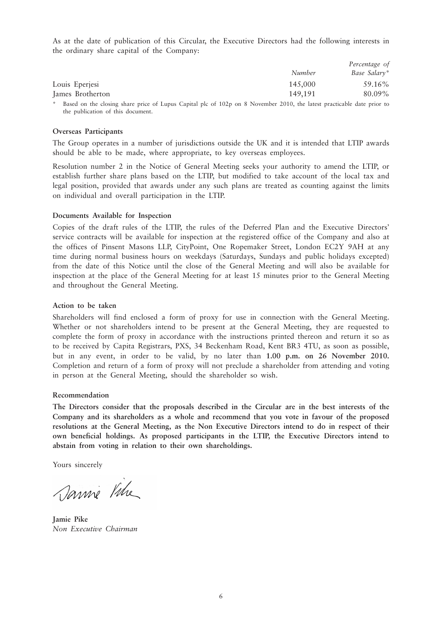As at the date of publication of this Circular, the Executive Directors had the following interests in the ordinary share capital of the Company:

|                  |                                        | Percentage of |  |
|------------------|----------------------------------------|---------------|--|
|                  | Number                                 | Base Salary*  |  |
| Louis Eperjesi   | 145,000                                | 59.16%        |  |
| James Brotherton | 149,191                                | 80.09%        |  |
|                  | $\sim$ $\sim$ $\sim$ $\sim$<br>------- |               |  |

Based on the closing share price of Lupus Capital plc of 102p on 8 November 2010, the latest practicable date prior to the publication of this document.

#### **Overseas Participants**

The Group operates in a number of jurisdictions outside the UK and it is intended that LTIP awards should be able to be made, where appropriate, to key overseas employees.

Resolution number 2 in the Notice of General Meeting seeks your authority to amend the LTIP, or establish further share plans based on the LTIP, but modified to take account of the local tax and legal position, provided that awards under any such plans are treated as counting against the limits on individual and overall participation in the LTIP.

#### **Documents Available for Inspection**

Copies of the draft rules of the LTIP, the rules of the Deferred Plan and the Executive Directors' service contracts will be available for inspection at the registered office of the Company and also at the offices of Pinsent Masons LLP, CityPoint, One Ropemaker Street, London EC2Y 9AH at any time during normal business hours on weekdays (Saturdays, Sundays and public holidays excepted) from the date of this Notice until the close of the General Meeting and will also be available for inspection at the place of the General Meeting for at least 15 minutes prior to the General Meeting and throughout the General Meeting.

#### **Action to be taken**

Shareholders will find enclosed a form of proxy for use in connection with the General Meeting. Whether or not shareholders intend to be present at the General Meeting, they are requested to complete the form of proxy in accordance with the instructions printed thereon and return it so as to be received by Capita Registrars, PXS, 34 Beckenham Road, Kent BR3 4TU, as soon as possible, but in any event, in order to be valid, by no later than **1.00 p.m. on 26 November 2010.** Completion and return of a form of proxy will not preclude a shareholder from attending and voting in person at the General Meeting, should the shareholder so wish.

#### **Recommendation**

**The Directors consider that the proposals described in the Circular are in the best interests of the Company and its shareholders as a whole and recommend that you vote in favour of the proposed resolutions at the General Meeting, as the Non Executive Directors intend to do in respect of their own beneficial holdings. As proposed participants in the LTIP, the Executive Directors intend to abstain from voting in relation to their own shareholdings.**

Yours sincerely

Sanne Vitre

**Jamie Pike** *Non Executive Chairman*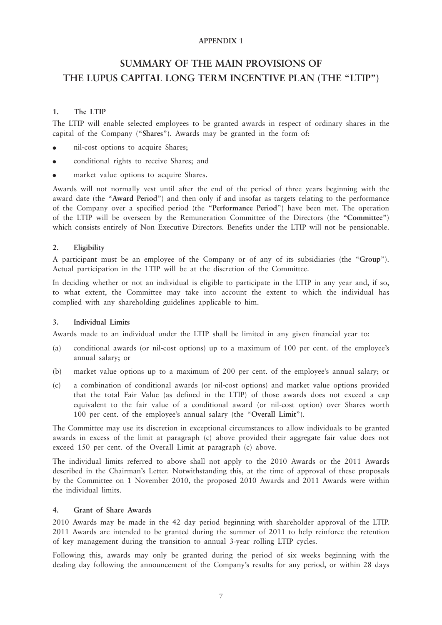#### **APPENDIX 1**

### **SUMMARY OF THE MAIN PROVISIONS OF THE LUPUS CAPITAL LONG TERM INCENTIVE PLAN (THE "LTIP")**

#### **1. The LTIP**

The LTIP will enable selected employees to be granted awards in respect of ordinary shares in the capital of the Company ("**Shares**"). Awards may be granted in the form of:

- nil-cost options to acquire Shares;
- conditional rights to receive Shares; and
- market value options to acquire Shares.

Awards will not normally vest until after the end of the period of three years beginning with the award date (the "**Award Period**") and then only if and insofar as targets relating to the performance of the Company over a specified period (the "**Performance Period**") have been met. The operation of the LTIP will be overseen by the Remuneration Committee of the Directors (the "**Committee**") which consists entirely of Non Executive Directors. Benefits under the LTIP will not be pensionable.

#### **2. Eligibility**

A participant must be an employee of the Company or of any of its subsidiaries (the "**Group**"). Actual participation in the LTIP will be at the discretion of the Committee.

In deciding whether or not an individual is eligible to participate in the LTIP in any year and, if so, to what extent, the Committee may take into account the extent to which the individual has complied with any shareholding guidelines applicable to him.

#### **3. Individual Limits**

Awards made to an individual under the LTIP shall be limited in any given financial year to:

- (a) conditional awards (or nil-cost options) up to a maximum of 100 per cent. of the employee's annual salary; or
- (b) market value options up to a maximum of 200 per cent. of the employee's annual salary; or
- (c) a combination of conditional awards (or nil-cost options) and market value options provided that the total Fair Value (as defined in the LTIP) of those awards does not exceed a cap equivalent to the fair value of a conditional award (or nil-cost option) over Shares worth 100 per cent. of the employee's annual salary (the "**Overall Limit**").

The Committee may use its discretion in exceptional circumstances to allow individuals to be granted awards in excess of the limit at paragraph (c) above provided their aggregate fair value does not exceed 150 per cent. of the Overall Limit at paragraph (c) above.

The individual limits referred to above shall not apply to the 2010 Awards or the 2011 Awards described in the Chairman's Letter. Notwithstanding this, at the time of approval of these proposals by the Committee on 1 November 2010, the proposed 2010 Awards and 2011 Awards were within the individual limits.

#### **4. Grant of Share Awards**

2010 Awards may be made in the 42 day period beginning with shareholder approval of the LTIP. 2011 Awards are intended to be granted during the summer of 2011 to help reinforce the retention of key management during the transition to annual 3-year rolling LTIP cycles.

Following this, awards may only be granted during the period of six weeks beginning with the dealing day following the announcement of the Company's results for any period, or within 28 days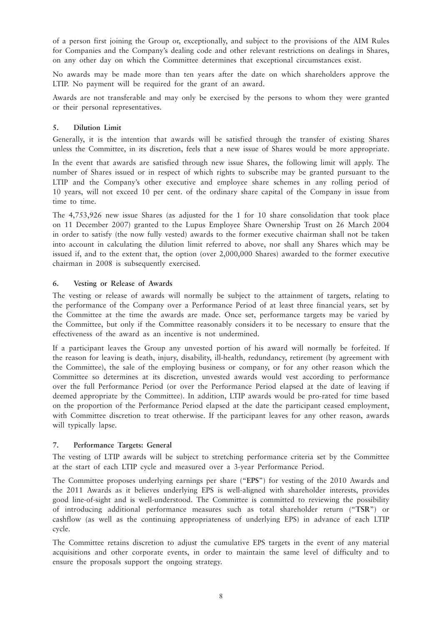of a person first joining the Group or, exceptionally, and subject to the provisions of the AIM Rules for Companies and the Company's dealing code and other relevant restrictions on dealings in Shares, on any other day on which the Committee determines that exceptional circumstances exist.

No awards may be made more than ten years after the date on which shareholders approve the LTIP. No payment will be required for the grant of an award.

Awards are not transferable and may only be exercised by the persons to whom they were granted or their personal representatives.

#### **5. Dilution Limit**

Generally, it is the intention that awards will be satisfied through the transfer of existing Shares unless the Committee, in its discretion, feels that a new issue of Shares would be more appropriate.

In the event that awards are satisfied through new issue Shares, the following limit will apply. The number of Shares issued or in respect of which rights to subscribe may be granted pursuant to the LTIP and the Company's other executive and employee share schemes in any rolling period of 10 years, will not exceed 10 per cent. of the ordinary share capital of the Company in issue from time to time.

The 4,753,926 new issue Shares (as adjusted for the 1 for 10 share consolidation that took place on 11 December 2007) granted to the Lupus Employee Share Ownership Trust on 26 March 2004 in order to satisfy (the now fully vested) awards to the former executive chairman shall not be taken into account in calculating the dilution limit referred to above, nor shall any Shares which may be issued if, and to the extent that, the option (over 2,000,000 Shares) awarded to the former executive chairman in 2008 is subsequently exercised.

#### **6. Vesting or Release of Awards**

The vesting or release of awards will normally be subject to the attainment of targets, relating to the performance of the Company over a Performance Period of at least three financial years, set by the Committee at the time the awards are made. Once set, performance targets may be varied by the Committee, but only if the Committee reasonably considers it to be necessary to ensure that the effectiveness of the award as an incentive is not undermined.

If a participant leaves the Group any unvested portion of his award will normally be forfeited. If the reason for leaving is death, injury, disability, ill-health, redundancy, retirement (by agreement with the Committee), the sale of the employing business or company, or for any other reason which the Committee so determines at its discretion, unvested awards would vest according to performance over the full Performance Period (or over the Performance Period elapsed at the date of leaving if deemed appropriate by the Committee). In addition, LTIP awards would be pro-rated for time based on the proportion of the Performance Period elapsed at the date the participant ceased employment, with Committee discretion to treat otherwise. If the participant leaves for any other reason, awards will typically lapse.

#### **7. Performance Targets: General**

The vesting of LTIP awards will be subject to stretching performance criteria set by the Committee at the start of each LTIP cycle and measured over a 3-year Performance Period.

The Committee proposes underlying earnings per share ("**EPS**") for vesting of the 2010 Awards and the 2011 Awards as it believes underlying EPS is well-aligned with shareholder interests, provides good line-of-sight and is well-understood. The Committee is committed to reviewing the possibility of introducing additional performance measures such as total shareholder return ("**TSR**") or cashflow (as well as the continuing appropriateness of underlying EPS) in advance of each LTIP cycle.

The Committee retains discretion to adjust the cumulative EPS targets in the event of any material acquisitions and other corporate events, in order to maintain the same level of difficulty and to ensure the proposals support the ongoing strategy.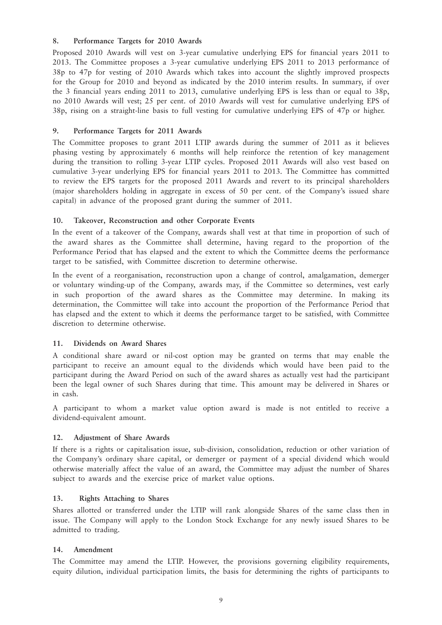#### **8. Performance Targets for 2010 Awards**

Proposed 2010 Awards will vest on 3-year cumulative underlying EPS for financial years 2011 to 2013. The Committee proposes a 3-year cumulative underlying EPS 2011 to 2013 performance of 38p to 47p for vesting of 2010 Awards which takes into account the slightly improved prospects for the Group for 2010 and beyond as indicated by the 2010 interim results. In summary, if over the 3 financial years ending 2011 to 2013, cumulative underlying EPS is less than or equal to 38p, no 2010 Awards will vest; 25 per cent. of 2010 Awards will vest for cumulative underlying EPS of 38p, rising on a straight-line basis to full vesting for cumulative underlying EPS of 47p or higher.

#### **9. Performance Targets for 2011 Awards**

The Committee proposes to grant 2011 LTIP awards during the summer of 2011 as it believes phasing vesting by approximately 6 months will help reinforce the retention of key management during the transition to rolling 3-year LTIP cycles. Proposed 2011 Awards will also vest based on cumulative 3-year underlying EPS for financial years 2011 to 2013. The Committee has committed to review the EPS targets for the proposed 2011 Awards and revert to its principal shareholders (major shareholders holding in aggregate in excess of 50 per cent. of the Company's issued share capital) in advance of the proposed grant during the summer of 2011.

#### **10. Takeover, Reconstruction and other Corporate Events**

In the event of a takeover of the Company, awards shall vest at that time in proportion of such of the award shares as the Committee shall determine, having regard to the proportion of the Performance Period that has elapsed and the extent to which the Committee deems the performance target to be satisfied, with Committee discretion to determine otherwise.

In the event of a reorganisation, reconstruction upon a change of control, amalgamation, demerger or voluntary winding-up of the Company, awards may, if the Committee so determines, vest early in such proportion of the award shares as the Committee may determine. In making its determination, the Committee will take into account the proportion of the Performance Period that has elapsed and the extent to which it deems the performance target to be satisfied, with Committee discretion to determine otherwise.

#### **11. Dividends on Award Shares**

A conditional share award or nil-cost option may be granted on terms that may enable the participant to receive an amount equal to the dividends which would have been paid to the participant during the Award Period on such of the award shares as actually vest had the participant been the legal owner of such Shares during that time. This amount may be delivered in Shares or in cash.

A participant to whom a market value option award is made is not entitled to receive a dividend-equivalent amount.

#### **12. Adjustment of Share Awards**

If there is a rights or capitalisation issue, sub-division, consolidation, reduction or other variation of the Company's ordinary share capital, or demerger or payment of a special dividend which would otherwise materially affect the value of an award, the Committee may adjust the number of Shares subject to awards and the exercise price of market value options.

#### **13. Rights Attaching to Shares**

Shares allotted or transferred under the LTIP will rank alongside Shares of the same class then in issue. The Company will apply to the London Stock Exchange for any newly issued Shares to be admitted to trading.

#### **14. Amendment**

The Committee may amend the LTIP. However, the provisions governing eligibility requirements, equity dilution, individual participation limits, the basis for determining the rights of participants to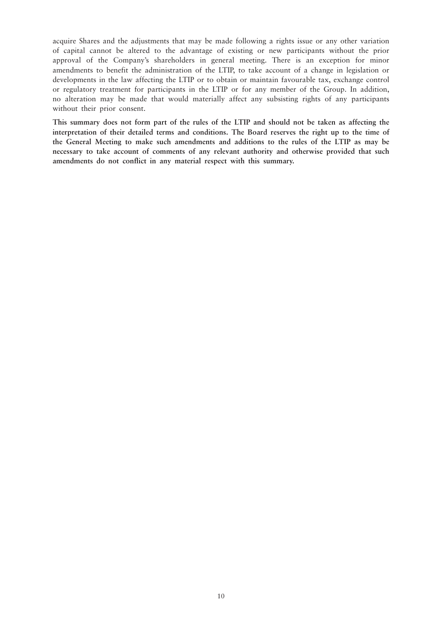acquire Shares and the adjustments that may be made following a rights issue or any other variation of capital cannot be altered to the advantage of existing or new participants without the prior approval of the Company's shareholders in general meeting. There is an exception for minor amendments to benefit the administration of the LTIP, to take account of a change in legislation or developments in the law affecting the LTIP or to obtain or maintain favourable tax, exchange control or regulatory treatment for participants in the LTIP or for any member of the Group. In addition, no alteration may be made that would materially affect any subsisting rights of any participants without their prior consent.

**This summary does not form part of the rules of the LTIP and should not be taken as affecting the interpretation of their detailed terms and conditions. The Board reserves the right up to the time of the General Meeting to make such amendments and additions to the rules of the LTIP as may be necessary to take account of comments of any relevant authority and otherwise provided that such amendments do not conflict in any material respect with this summary.**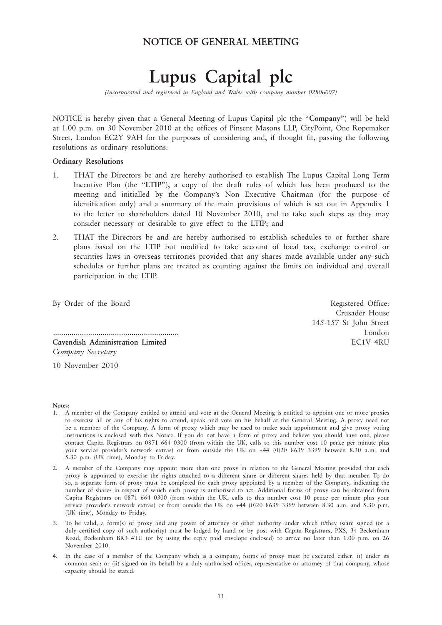### **NOTICE OF GENERAL MEETING**

# **Lupus Capital plc**

*(Incorporated and registered in England and Wales with company number 02806007)*

NOTICE is hereby given that a General Meeting of Lupus Capital plc (the "**Company**") will be held at 1.00 p.m. on 30 November 2010 at the offices of Pinsent Masons LLP, CityPoint, One Ropemaker Street, London EC2Y 9AH for the purposes of considering and, if thought fit, passing the following resolutions as ordinary resolutions:

#### **Ordinary Resolutions**

- 1. THAT the Directors be and are hereby authorised to establish The Lupus Capital Long Term Incentive Plan (the "**LTIP**"), a copy of the draft rules of which has been produced to the meeting and initialled by the Company's Non Executive Chairman (for the purpose of identification only) and a summary of the main provisions of which is set out in Appendix 1 to the letter to shareholders dated 10 November 2010, and to take such steps as they may consider necessary or desirable to give effect to the LTIP; and
- 2. THAT the Directors be and are hereby authorised to establish schedules to or further share plans based on the LTIP but modified to take account of local tax, exchange control or securities laws in overseas territories provided that any shares made available under any such schedules or further plans are treated as counting against the limits on individual and overall participation in the LTIP.

By Order of the Board Registered Office:

............................................................. London **Cavendish Administration Limited** EC1V 4RU *Company Secretary*

Crusader House 145-157 St John Street

10 November 2010

#### **Notes:**

- 1. A member of the Company entitled to attend and vote at the General Meeting is entitled to appoint one or more proxies to exercise all or any of his rights to attend, speak and vote on his behalf at the General Meeting. A proxy need not be a member of the Company. A form of proxy which may be used to make such appointment and give proxy voting instructions is enclosed with this Notice. If you do not have a form of proxy and believe you should have one, please contact Capita Registrars on 0871 664 0300 (from within the UK, calls to this number cost 10 pence per minute plus your service provider's network extras) or from outside the UK on +44 (0)20 8639 3399 between 8.30 a.m. and 5.30 p.m. (UK time), Monday to Friday.
- 2. A member of the Company may appoint more than one proxy in relation to the General Meeting provided that each proxy is appointed to exercise the rights attached to a different share or different shares held by that member. To do so, a separate form of proxy must be completed for each proxy appointed by a member of the Company, indicating the number of shares in respect of which each proxy is authorised to act. Additional forms of proxy can be obtained from Capita Registrars on 0871 664 0300 (from within the UK, calls to this number cost 10 pence per minute plus your service provider's network extras) or from outside the UK on +44 (0)20 8639 3399 between 8.30 a.m. and 5.30 p.m. (UK time), Monday to Friday.
- 3. To be valid, a form(s) of proxy and any power of attorney or other authority under which it/they is/are signed (or a duly certified copy of such authority) must be lodged by hand or by post with Capita Registrars, PXS, 34 Beckenham Road, Beckenham BR3 4TU (or by using the reply paid envelope enclosed) to arrive no later than 1.00 p.m. on 26 November 2010.
- 4. In the case of a member of the Company which is a company, forms of proxy must be executed either: (i) under its common seal; or (ii) signed on its behalf by a duly authorised officer, representative or attorney of that company, whose capacity should be stated.